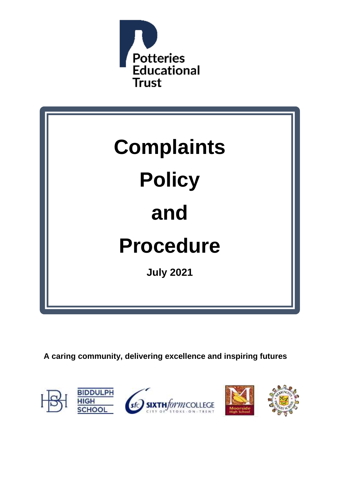



**A caring community, delivering excellence and inspiring futures**



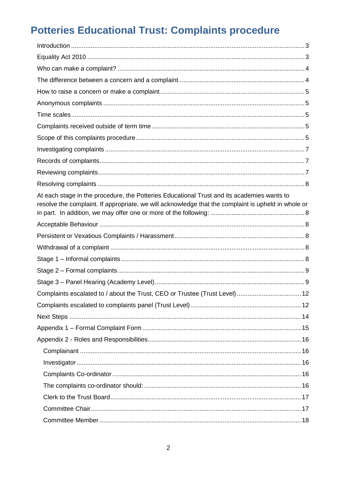# **Potteries Educational Trust: Complaints procedure**

| At each stage in the procedure, the Potteries Educational Trust and its academies wants to<br>resolve the complaint. If appropriate, we will acknowledge that the complaint is upheld in whole or |  |
|---------------------------------------------------------------------------------------------------------------------------------------------------------------------------------------------------|--|
|                                                                                                                                                                                                   |  |
|                                                                                                                                                                                                   |  |
|                                                                                                                                                                                                   |  |
|                                                                                                                                                                                                   |  |
|                                                                                                                                                                                                   |  |
|                                                                                                                                                                                                   |  |
| Complaints escalated to / about the Trust, CEO or Trustee (Trust Level)  12                                                                                                                       |  |
|                                                                                                                                                                                                   |  |
|                                                                                                                                                                                                   |  |
|                                                                                                                                                                                                   |  |
|                                                                                                                                                                                                   |  |
|                                                                                                                                                                                                   |  |
|                                                                                                                                                                                                   |  |
|                                                                                                                                                                                                   |  |
|                                                                                                                                                                                                   |  |
|                                                                                                                                                                                                   |  |
|                                                                                                                                                                                                   |  |
|                                                                                                                                                                                                   |  |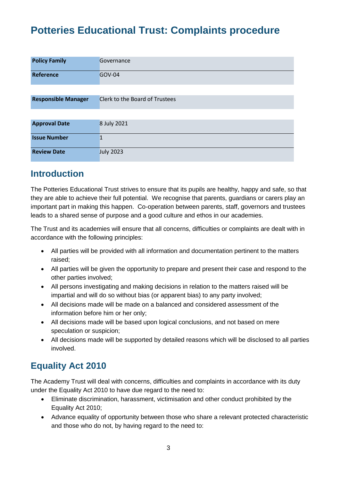# <span id="page-2-0"></span>**Potteries Educational Trust: Complaints procedure**

| <b>Policy Family</b>       | Governance                            |
|----------------------------|---------------------------------------|
| Reference                  | <b>GOV-04</b>                         |
|                            |                                       |
| <b>Responsible Manager</b> | <b>Clerk to the Board of Trustees</b> |
|                            |                                       |
| <b>Approval Date</b>       | 8 July 2021                           |
| <b>Issue Number</b>        | $\mathbf{1}$                          |
| <b>Review Date</b>         | <b>July 2023</b>                      |

### <span id="page-2-1"></span>**Introduction**

The Potteries Educational Trust strives to ensure that its pupils are healthy, happy and safe, so that they are able to achieve their full potential. We recognise that parents, guardians or carers play an important part in making this happen. Co-operation between parents, staff, governors and trustees leads to a shared sense of purpose and a good culture and ethos in our academies.

The Trust and its academies will ensure that all concerns, difficulties or complaints are dealt with in accordance with the following principles:

- All parties will be provided with all information and documentation pertinent to the matters raised;
- All parties will be given the opportunity to prepare and present their case and respond to the other parties involved;
- All persons investigating and making decisions in relation to the matters raised will be impartial and will do so without bias (or apparent bias) to any party involved;
- All decisions made will be made on a balanced and considered assessment of the information before him or her only;
- All decisions made will be based upon logical conclusions, and not based on mere speculation or suspicion;
- All decisions made will be supported by detailed reasons which will be disclosed to all parties involved.

## <span id="page-2-2"></span>**Equality Act 2010**

The Academy Trust will deal with concerns, difficulties and complaints in accordance with its duty under the Equality Act 2010 to have due regard to the need to:

- Eliminate discrimination, harassment, victimisation and other conduct prohibited by the Equality Act 2010;
- Advance equality of opportunity between those who share a relevant protected characteristic and those who do not, by having regard to the need to: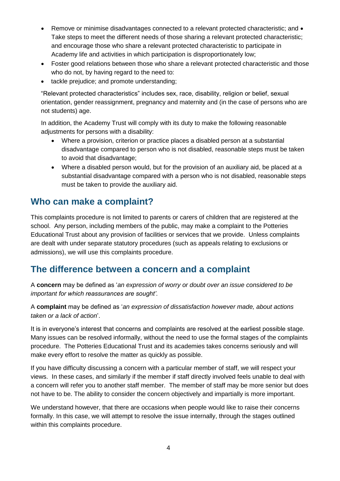- Remove or minimise disadvantages connected to a relevant protected characteristic; and  $\bullet$ Take steps to meet the different needs of those sharing a relevant protected characteristic; and encourage those who share a relevant protected characteristic to participate in Academy life and activities in which participation is disproportionately low;
- Foster good relations between those who share a relevant protected characteristic and those who do not, by having regard to the need to:
- tackle prejudice; and promote understanding;

"Relevant protected characteristics" includes sex, race, disability, religion or belief, sexual orientation, gender reassignment, pregnancy and maternity and (in the case of persons who are not students) age.

In addition, the Academy Trust will comply with its duty to make the following reasonable adjustments for persons with a disability:

- Where a provision, criterion or practice places a disabled person at a substantial disadvantage compared to person who is not disabled, reasonable steps must be taken to avoid that disadvantage;
- Where a disabled person would, but for the provision of an auxiliary aid, be placed at a substantial disadvantage compared with a person who is not disabled, reasonable steps must be taken to provide the auxiliary aid.

#### <span id="page-3-0"></span>**Who can make a complaint?**

This complaints procedure is not limited to parents or carers of children that are registered at the school. Any person, including members of the public, may make a complaint to the Potteries Educational Trust about any provision of facilities or services that we provide. Unless complaints are dealt with under separate statutory procedures (such as appeals relating to exclusions or admissions), we will use this complaints procedure.

#### <span id="page-3-1"></span>**The difference between a concern and a complaint**

A **concern** may be defined as '*an expression of worry or doubt over an issue considered to be important for which reassurances are sought'*.

A **complaint** may be defined as '*an expression of dissatisfaction however made, about actions taken or a lack of action*'.

It is in everyone's interest that concerns and complaints are resolved at the earliest possible stage. Many issues can be resolved informally, without the need to use the formal stages of the complaints procedure. The Potteries Educational Trust and its academies takes concerns seriously and will make every effort to resolve the matter as quickly as possible.

If you have difficulty discussing a concern with a particular member of staff, we will respect your views. In these cases, and similarly if the member if staff directly involved feels unable to deal with a concern will refer you to another staff member. The member of staff may be more senior but does not have to be. The ability to consider the concern objectively and impartially is more important.

We understand however, that there are occasions when people would like to raise their concerns formally. In this case, we will attempt to resolve the issue internally, through the stages outlined within this complaints procedure.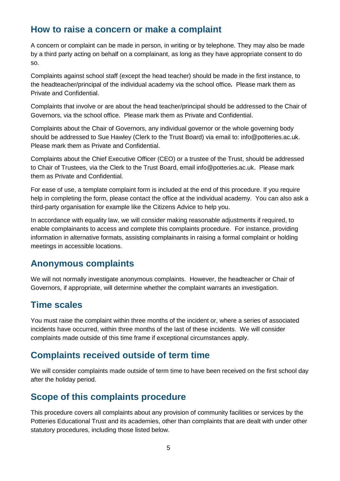#### <span id="page-4-0"></span>**How to raise a concern or make a complaint**

A concern or complaint can be made in person, in writing or by telephone. They may also be made by a third party acting on behalf on a complainant, as long as they have appropriate consent to do so.

Complaints against school staff (except the head teacher) should be made in the first instance, to the headteacher/principal of the individual academy via the school office*.* Please mark them as Private and Confidential.

Complaints that involve or are about the head teacher/principal should be addressed to the Chair of Governors, via the school office. Please mark them as Private and Confidential.

Complaints about the Chair of Governors, any individual governor or the whole governing body should be addressed to Sue Hawley (Clerk to the Trust Board) via email to: info@potteries.ac.uk. Please mark them as Private and Confidential.

Complaints about the Chief Executive Officer (CEO) or a trustee of the Trust, should be addressed to Chair of Trustees, via the Clerk to the Trust Board, email info@potteries.ac.uk. Please mark them as Private and Confidential.

For ease of use, a template complaint form is included at the end of this procedure. If you require help in completing the form, please contact the office at the individual academy. You can also ask a third-party organisation for example like the Citizens Advice to help you.

In accordance with equality law, we will consider making reasonable adjustments if required, to enable complainants to access and complete this complaints procedure. For instance, providing information in alternative formats, assisting complainants in raising a formal complaint or holding meetings in accessible locations.

#### <span id="page-4-1"></span>**Anonymous complaints**

We will not normally investigate anonymous complaints. However, the headteacher or Chair of Governors, if appropriate, will determine whether the complaint warrants an investigation.

#### <span id="page-4-2"></span>**Time scales**

You must raise the complaint within three months of the incident or, where a series of associated incidents have occurred, within three months of the last of these incidents. We will consider complaints made outside of this time frame if exceptional circumstances apply.

### <span id="page-4-3"></span>**Complaints received outside of term time**

We will consider complaints made outside of term time to have been received on the first school day after the holiday period.

### <span id="page-4-4"></span>**Scope of this complaints procedure**

This procedure covers all complaints about any provision of community facilities or services by the Potteries Educational Trust and its academies, other than complaints that are dealt with under other statutory procedures, including those listed below.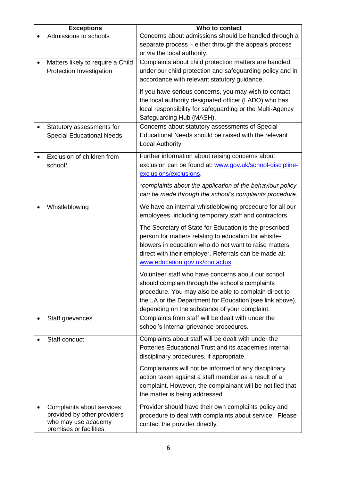| <b>Exceptions</b>                 | Who to contact                                            |
|-----------------------------------|-----------------------------------------------------------|
| Admissions to schools             | Concerns about admissions should be handled through a     |
|                                   | separate process - either through the appeals process     |
|                                   | or via the local authority.                               |
| Matters likely to require a Child | Complaints about child protection matters are handled     |
| Protection Investigation          | under our child protection and safeguarding policy and in |
|                                   | accordance with relevant statutory guidance.              |
|                                   | If you have serious concerns, you may wish to contact     |
|                                   | the local authority designated officer (LADO) who has     |
|                                   | local responsibility for safeguarding or the Multi-Agency |
|                                   | Safeguarding Hub (MASH).                                  |
| Statutory assessments for         | Concerns about statutory assessments of Special           |
| <b>Special Educational Needs</b>  | Educational Needs should be raised with the relevant      |
|                                   | <b>Local Authority</b>                                    |
| Exclusion of children from        | Further information about raising concerns about          |
| school*                           | exclusion can be found at: www.gov.uk/school-discipline-  |
|                                   | exclusions/exclusions                                     |
|                                   | *complaints about the application of the behaviour policy |
|                                   | can be made through the school's complaints procedure.    |
|                                   |                                                           |
| Whistleblowing                    | We have an internal whistleblowing procedure for all our  |
|                                   | employees, including temporary staff and contractors.     |
|                                   | The Secretary of State for Education is the prescribed    |
|                                   | person for matters relating to education for whistle-     |
|                                   | blowers in education who do not want to raise matters     |
|                                   | direct with their employer. Referrals can be made at:     |
|                                   | www.education.gov.uk/contactus.                           |
|                                   | Volunteer staff who have concerns about our school        |
|                                   | should complain through the school's complaints           |
|                                   | procedure. You may also be able to complain direct to     |
|                                   | the LA or the Department for Education (see link above),  |
|                                   | depending on the substance of your complaint.             |
| Staff grievances                  | Complaints from staff will be dealt with under the        |
|                                   | school's internal grievance procedures.                   |
| Staff conduct                     | Complaints about staff will be dealt with under the       |
|                                   | Potteries Educational Trust and its academies internal    |
|                                   | disciplinary procedures, if appropriate.                  |
|                                   | Complainants will not be informed of any disciplinary     |
|                                   | action taken against a staff member as a result of a      |
|                                   | complaint. However, the complainant will be notified that |
|                                   | the matter is being addressed.                            |
| Complaints about services         | Provider should have their own complaints policy and      |
| provided by other providers       | procedure to deal with complaints about service. Please   |
| who may use academy               | contact the provider directly.                            |
| premises or facilities            |                                                           |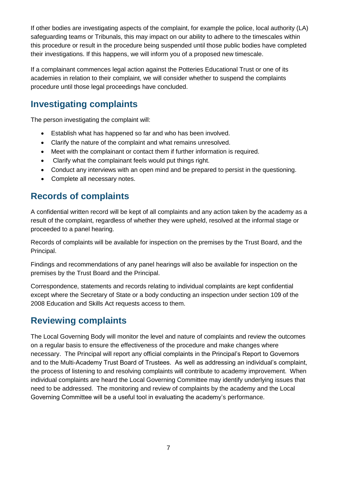If other bodies are investigating aspects of the complaint, for example the police, local authority (LA) safeguarding teams or Tribunals, this may impact on our ability to adhere to the timescales within this procedure or result in the procedure being suspended until those public bodies have completed their investigations. If this happens, we will inform you of a proposed new timescale.

If a complainant commences legal action against the Potteries Educational Trust or one of its academies in relation to their complaint, we will consider whether to suspend the complaints procedure until those legal proceedings have concluded.

### <span id="page-6-0"></span>**Investigating complaints**

The person investigating the complaint will:

- Establish what has happened so far and who has been involved.
- Clarify the nature of the complaint and what remains unresolved.
- Meet with the complainant or contact them if further information is required.
- Clarify what the complainant feels would put things right.
- Conduct any interviews with an open mind and be prepared to persist in the questioning.
- Complete all necessary notes.

### <span id="page-6-1"></span>**Records of complaints**

A confidential written record will be kept of all complaints and any action taken by the academy as a result of the complaint, regardless of whether they were upheld, resolved at the informal stage or proceeded to a panel hearing.

Records of complaints will be available for inspection on the premises by the Trust Board, and the Principal.

Findings and recommendations of any panel hearings will also be available for inspection on the premises by the Trust Board and the Principal.

Correspondence, statements and records relating to individual complaints are kept confidential except where the Secretary of State or a body conducting an inspection under section 109 of the 2008 Education and Skills Act requests access to them.

## <span id="page-6-2"></span>**Reviewing complaints**

The Local Governing Body will monitor the level and nature of complaints and review the outcomes on a regular basis to ensure the effectiveness of the procedure and make changes where necessary. The Principal will report any official complaints in the Principal's Report to Governors and to the Multi-Academy Trust Board of Trustees. As well as addressing an individual's complaint, the process of listening to and resolving complaints will contribute to academy improvement. When individual complaints are heard the Local Governing Committee may identify underlying issues that need to be addressed. The monitoring and review of complaints by the academy and the Local Governing Committee will be a useful tool in evaluating the academy's performance.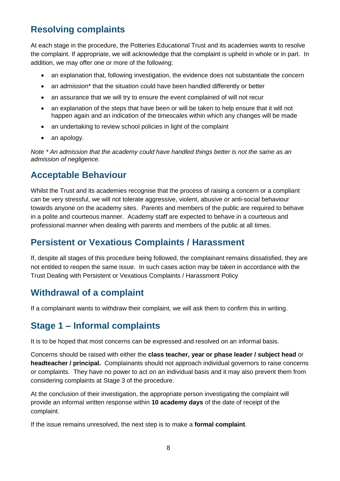## <span id="page-7-0"></span>**Resolving complaints**

<span id="page-7-1"></span>At each stage in the procedure, the Potteries Educational Trust and its academies wants to resolve the complaint. If appropriate, we will acknowledge that the complaint is upheld in whole or in part. In addition, we may offer one or more of the following:

- an explanation that, following investigation, the evidence does not substantiate the concern
- an admission\* that the situation could have been handled differently or better
- an assurance that we will try to ensure the event complained of will not recur
- an explanation of the steps that have been or will be taken to help ensure that it will not happen again and an indication of the timescales within which any changes will be made
- an undertaking to review school policies in light of the complaint
- an apology.

*Note \* An admission that the academy could have handled things better is not the same as an admission of negligence.*

#### <span id="page-7-2"></span>**Acceptable Behaviour**

Whilst the Trust and its academies recognise that the process of raising a concern or a compliant can be very stressful, we will not tolerate aggressive, violent, abusive or anti-social behaviour towards anyone on the academy sites. Parents and members of the public are required to behave in a polite and courteous manner. Academy staff are expected to behave in a courteous and professional manner when dealing with parents and members of the public at all times.

#### <span id="page-7-3"></span>**Persistent or Vexatious Complaints / Harassment**

If, despite all stages of this procedure being followed, the complainant remains dissatisfied, they are not entitled to reopen the same issue. In such cases action may be taken in accordance with the Trust Dealing with Persistent or Vexatious Complaints / Harassment Policy

### <span id="page-7-4"></span>**Withdrawal of a complaint**

If a complainant wants to withdraw their complaint, we will ask them to confirm this in writing.

#### <span id="page-7-5"></span>**Stage 1 – Informal complaints**

It is to be hoped that most concerns can be expressed and resolved on an informal basis.

Concerns should be raised with either the **class teacher, year or phase leader / subject head** or **headteacher / principal.** Complainants should not approach individual governors to raise concerns or complaints. They have no power to act on an individual basis and it may also prevent them from considering complaints at Stage 3 of the procedure.

At the conclusion of their investigation, the appropriate person investigating the complaint will provide an informal written response within **10 academy days** of the date of receipt of the complaint.

If the issue remains unresolved, the next step is to make a **formal complaint**.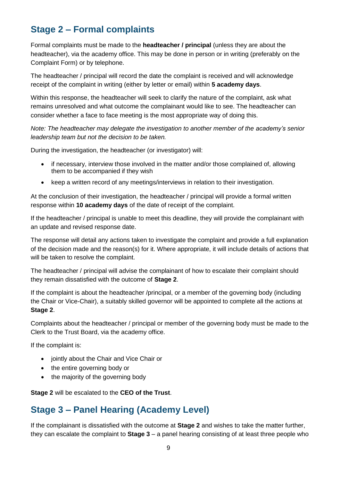## <span id="page-8-0"></span>**Stage 2 – Formal complaints**

Formal complaints must be made to the **headteacher / principal** (unless they are about the headteacher), via the academy office. This may be done in person or in writing (preferably on the Complaint Form) or by telephone.

The headteacher / principal will record the date the complaint is received and will acknowledge receipt of the complaint in writing (either by letter or email) within **5 academy days**.

Within this response, the headteacher will seek to clarify the nature of the complaint, ask what remains unresolved and what outcome the complainant would like to see. The headteacher can consider whether a face to face meeting is the most appropriate way of doing this.

*Note: The headteacher may delegate the investigation to another member of the academy's senior leadership team but not the decision to be taken.*

During the investigation, the headteacher (or investigator) will:

- if necessary, interview those involved in the matter and/or those complained of, allowing them to be accompanied if they wish
- keep a written record of any meetings/interviews in relation to their investigation.

At the conclusion of their investigation, the headteacher / principal will provide a formal written response within **10 academy days** of the date of receipt of the complaint.

If the headteacher / principal is unable to meet this deadline, they will provide the complainant with an update and revised response date.

The response will detail any actions taken to investigate the complaint and provide a full explanation of the decision made and the reason(s) for it. Where appropriate, it will include details of actions that will be taken to resolve the complaint.

The headteacher / principal will advise the complainant of how to escalate their complaint should they remain dissatisfied with the outcome of **Stage 2**.

If the complaint is about the headteacher /principal, or a member of the governing body (including the Chair or Vice-Chair), a suitably skilled governor will be appointed to complete all the actions at **Stage 2**.

Complaints about the headteacher / principal or member of the governing body must be made to the Clerk to the Trust Board, via the academy office.

If the complaint is:

- jointly about the Chair and Vice Chair or
- the entire governing body or
- the majority of the governing body

**Stage 2** will be escalated to the **CEO of the Trust**.

#### <span id="page-8-1"></span>**Stage 3 – Panel Hearing (Academy Level)**

If the complainant is dissatisfied with the outcome at **Stage 2** and wishes to take the matter further, they can escalate the complaint to **Stage 3** – a panel hearing consisting of at least three people who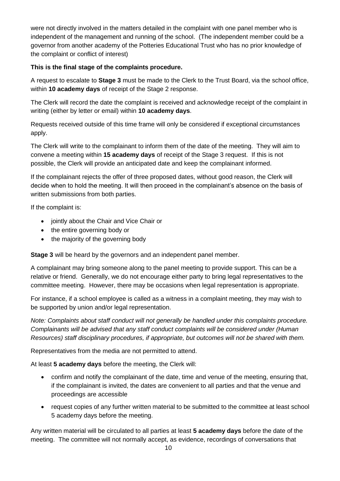were not directly involved in the matters detailed in the complaint with one panel member who is independent of the management and running of the school. (The independent member could be a governor from another academy of the Potteries Educational Trust who has no prior knowledge of the complaint or conflict of interest)

#### **This is the final stage of the complaints procedure.**

A request to escalate to **Stage 3** must be made to the Clerk to the Trust Board, via the school office, within **10 academy days** of receipt of the Stage 2 response.

The Clerk will record the date the complaint is received and acknowledge receipt of the complaint in writing (either by letter or email) within **10 academy days**.

Requests received outside of this time frame will only be considered if exceptional circumstances apply.

The Clerk will write to the complainant to inform them of the date of the meeting. They will aim to convene a meeting within **15 academy days** of receipt of the Stage 3 request. If this is not possible, the Clerk will provide an anticipated date and keep the complainant informed.

If the complainant rejects the offer of three proposed dates, without good reason, the Clerk will decide when to hold the meeting. It will then proceed in the complainant's absence on the basis of written submissions from both parties.

If the complaint is:

- jointly about the Chair and Vice Chair or
- the entire governing body or
- the majority of the governing body

**Stage 3** will be heard by the governors and an independent panel member.

A complainant may bring someone along to the panel meeting to provide support. This can be a relative or friend. Generally, we do not encourage either party to bring legal representatives to the committee meeting. However, there may be occasions when legal representation is appropriate.

For instance, if a school employee is called as a witness in a complaint meeting, they may wish to be supported by union and/or legal representation.

*Note: Complaints about staff conduct will not generally be handled under this complaints procedure. Complainants will be advised that any staff conduct complaints will be considered under (Human Resources) staff disciplinary procedures, if appropriate, but outcomes will not be shared with them.* 

Representatives from the media are not permitted to attend.

At least **5 academy days** before the meeting, the Clerk will:

- confirm and notify the complainant of the date, time and venue of the meeting, ensuring that, if the complainant is invited, the dates are convenient to all parties and that the venue and proceedings are accessible
- request copies of any further written material to be submitted to the committee at least school 5 academy days before the meeting.

Any written material will be circulated to all parties at least **5 academy days** before the date of the meeting. The committee will not normally accept, as evidence, recordings of conversations that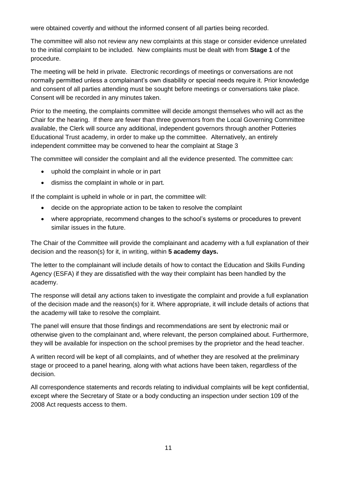were obtained covertly and without the informed consent of all parties being recorded.

The committee will also not review any new complaints at this stage or consider evidence unrelated to the initial complaint to be included. New complaints must be dealt with from **Stage 1** of the procedure.

The meeting will be held in private. Electronic recordings of meetings or conversations are not normally permitted unless a complainant's own disability or special needs require it. Prior knowledge and consent of all parties attending must be sought before meetings or conversations take place. Consent will be recorded in any minutes taken.

Prior to the meeting, the complaints committee will decide amongst themselves who will act as the Chair for the hearing. If there are fewer than three governors from the Local Governing Committee available, the Clerk will source any additional, independent governors through another Potteries Educational Trust academy, in order to make up the committee. Alternatively, an entirely independent committee may be convened to hear the complaint at Stage 3

The committee will consider the complaint and all the evidence presented. The committee can:

- uphold the complaint in whole or in part
- dismiss the complaint in whole or in part.

If the complaint is upheld in whole or in part, the committee will:

- decide on the appropriate action to be taken to resolve the complaint
- where appropriate, recommend changes to the school's systems or procedures to prevent similar issues in the future.

The Chair of the Committee will provide the complainant and academy with a full explanation of their decision and the reason(s) for it, in writing, within **5 academy days.**

The letter to the complainant will include details of how to contact the Education and Skills Funding Agency (ESFA) if they are dissatisfied with the way their complaint has been handled by the academy.

The response will detail any actions taken to investigate the complaint and provide a full explanation of the decision made and the reason(s) for it. Where appropriate, it will include details of actions that the academy will take to resolve the complaint.

The panel will ensure that those findings and recommendations are sent by electronic mail or otherwise given to the complainant and, where relevant, the person complained about. Furthermore, they will be available for inspection on the school premises by the proprietor and the head teacher.

A written record will be kept of all complaints, and of whether they are resolved at the preliminary stage or proceed to a panel hearing, along with what actions have been taken, regardless of the decision.

All correspondence statements and records relating to individual complaints will be kept confidential, except where the Secretary of State or a body conducting an inspection under section 109 of the 2008 Act requests access to them.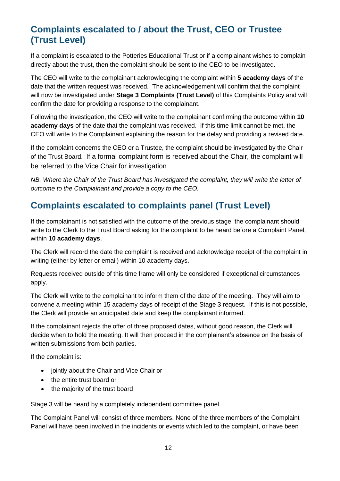## <span id="page-11-0"></span>**Complaints escalated to / about the Trust, CEO or Trustee (Trust Level)**

If a complaint is escalated to the Potteries Educational Trust or if a complainant wishes to complain directly about the trust, then the complaint should be sent to the CEO to be investigated.

The CEO will write to the complainant acknowledging the complaint within **5 academy days** of the date that the written request was received. The acknowledgement will confirm that the complaint will now be investigated under **Stage 3 Complaints (Trust Level)** of this Complaints Policy and will confirm the date for providing a response to the complainant.

Following the investigation, the CEO will write to the complainant confirming the outcome within **10 academy days** of the date that the complaint was received. If this time limit cannot be met, the CEO will write to the Complainant explaining the reason for the delay and providing a revised date.

If the complaint concerns the CEO or a Trustee, the complaint should be investigated by the Chair of the Trust Board. If a formal complaint form is received about the Chair, the complaint will be referred to the Vice Chair for investigation

*NB. Where the Chair of the Trust Board has investigated the complaint, they will write the letter of outcome to the Complainant and provide a copy to the CEO.* 

## <span id="page-11-1"></span>**Complaints escalated to complaints panel (Trust Level)**

If the complainant is not satisfied with the outcome of the previous stage, the complainant should write to the Clerk to the Trust Board asking for the complaint to be heard before a Complaint Panel, within **10 academy days**.

The Clerk will record the date the complaint is received and acknowledge receipt of the complaint in writing (either by letter or email) within 10 academy days.

Requests received outside of this time frame will only be considered if exceptional circumstances apply.

The Clerk will write to the complainant to inform them of the date of the meeting. They will aim to convene a meeting within 15 academy days of receipt of the Stage 3 request. If this is not possible, the Clerk will provide an anticipated date and keep the complainant informed.

If the complainant rejects the offer of three proposed dates, without good reason, the Clerk will decide when to hold the meeting. It will then proceed in the complainant's absence on the basis of written submissions from both parties.

If the complaint is:

- jointly about the Chair and Vice Chair or
- the entire trust board or
- the majority of the trust board

Stage 3 will be heard by a completely independent committee panel.

The Complaint Panel will consist of three members. None of the three members of the Complaint Panel will have been involved in the incidents or events which led to the complaint, or have been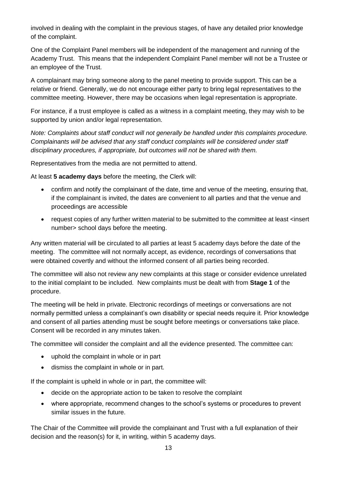involved in dealing with the complaint in the previous stages, of have any detailed prior knowledge of the complaint.

One of the Complaint Panel members will be independent of the management and running of the Academy Trust. This means that the independent Complaint Panel member will not be a Trustee or an employee of the Trust.

A complainant may bring someone along to the panel meeting to provide support. This can be a relative or friend. Generally, we do not encourage either party to bring legal representatives to the committee meeting. However, there may be occasions when legal representation is appropriate.

For instance, if a trust employee is called as a witness in a complaint meeting, they may wish to be supported by union and/or legal representation.

*Note: Complaints about staff conduct will not generally be handled under this complaints procedure. Complainants will be advised that any staff conduct complaints will be considered under staff disciplinary procedures, if appropriate, but outcomes will not be shared with them.* 

Representatives from the media are not permitted to attend.

At least **5 academy days** before the meeting, the Clerk will:

- confirm and notify the complainant of the date, time and venue of the meeting, ensuring that, if the complainant is invited, the dates are convenient to all parties and that the venue and proceedings are accessible
- request copies of any further written material to be submitted to the committee at least <insert number> school days before the meeting.

Any written material will be circulated to all parties at least 5 academy days before the date of the meeting. The committee will not normally accept, as evidence, recordings of conversations that were obtained covertly and without the informed consent of all parties being recorded.

The committee will also not review any new complaints at this stage or consider evidence unrelated to the initial complaint to be included. New complaints must be dealt with from **Stage 1** of the procedure.

The meeting will be held in private. Electronic recordings of meetings or conversations are not normally permitted unless a complainant's own disability or special needs require it. Prior knowledge and consent of all parties attending must be sought before meetings or conversations take place. Consent will be recorded in any minutes taken.

The committee will consider the complaint and all the evidence presented. The committee can:

- uphold the complaint in whole or in part
- dismiss the complaint in whole or in part.

If the complaint is upheld in whole or in part, the committee will:

- decide on the appropriate action to be taken to resolve the complaint
- where appropriate, recommend changes to the school's systems or procedures to prevent similar issues in the future.

The Chair of the Committee will provide the complainant and Trust with a full explanation of their decision and the reason(s) for it, in writing, within 5 academy days.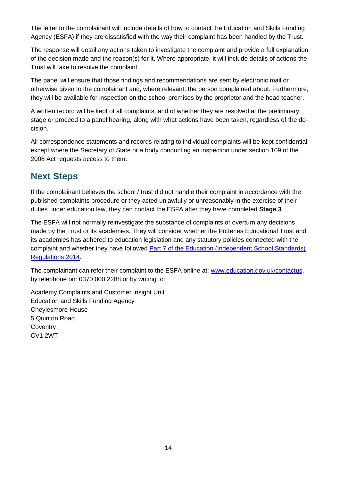The letter to the complainant will include details of how to contact the Education and Skills Funding Agency (ESFA) if they are dissatisfied with the way their complaint has been handled by the Trust.

The response will detail any actions taken to investigate the complaint and provide a full explanation of the decision made and the reason(s) for it. Where appropriate, it will include details of actions the Trust will take to resolve the complaint.

The panel will ensure that those findings and recommendations are sent by electronic mail or otherwise given to the complainant and, where relevant, the person complained about. Furthermore, they will be available for inspection on the school premises by the proprietor and the head teacher.

A written record will be kept of all complaints, and of whether they are resolved at the preliminary stage or proceed to a panel hearing, along with what actions have been taken, regardless of the decision.

All correspondence statements and records relating to individual complaints will be kept confidential, except where the Secretary of State or a body conducting an inspection under section 109 of the 2008 Act requests access to them.

### <span id="page-13-0"></span>**Next Steps**

If the complainant believes the school / trust did not handle their complaint in accordance with the published complaints procedure or they acted unlawfully or unreasonably in the exercise of their duties under education law, they can contact the ESFA after they have completed **Stage 3**.

The ESFA will not normally reinvestigate the substance of complaints or overturn any decisions made by the Trust or its academies. They will consider whether the Potteries Educational Trust and its academies has adhered to education legislation and any statutory policies connected with the complaint and whether they have followed **Part 7 of the Education (Independent School Standards)** [Regulations 2014.](http://www.legislation.gov.uk/uksi/2010/1997/schedule/1/made)

The complainant can refer their complaint to the ESFA online at: [www.education.gov.uk/contactus,](http://www.education.gov.uk/contactus) by telephone on: 0370 000 2288 or by writing to:

Academy Complaints and Customer Insight Unit Education and Skills Funding Agency Cheylesmore House 5 Quinton Road **Coventry** CV1 2WT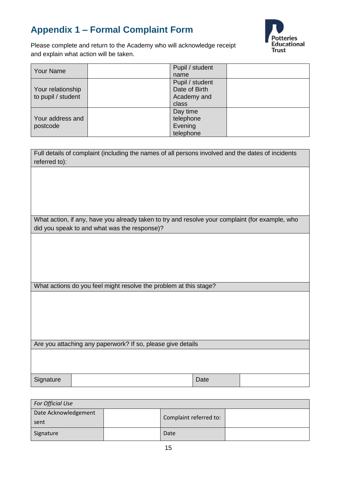## <span id="page-14-0"></span>**Appendix 1 – Formal Complaint Form**



Please complete and return to the Academy who will acknowledge receipt and explain what action will be taken.

| <b>Your Name</b>   | Pupil / student |  |
|--------------------|-----------------|--|
|                    | name            |  |
|                    | Pupil / student |  |
| Your relationship  | Date of Birth   |  |
| to pupil / student | Academy and     |  |
|                    | class           |  |
|                    | Day time        |  |
| Your address and   | telephone       |  |
| postcode           | Evening         |  |
|                    | telephone       |  |

| Full details of complaint (including the names of all persons involved and the dates of incidents<br>referred to): |  |  |  |
|--------------------------------------------------------------------------------------------------------------------|--|--|--|
|                                                                                                                    |  |  |  |
|                                                                                                                    |  |  |  |
|                                                                                                                    |  |  |  |
|                                                                                                                    |  |  |  |
| What action, if any, have you already taken to try and resolve your complaint (for example, who                    |  |  |  |
| did you speak to and what was the response)?                                                                       |  |  |  |
|                                                                                                                    |  |  |  |
|                                                                                                                    |  |  |  |
|                                                                                                                    |  |  |  |
|                                                                                                                    |  |  |  |
| What actions do you feel might resolve the problem at this stage?                                                  |  |  |  |
|                                                                                                                    |  |  |  |
|                                                                                                                    |  |  |  |
|                                                                                                                    |  |  |  |
|                                                                                                                    |  |  |  |
|                                                                                                                    |  |  |  |
| Are you attaching any paperwork? If so, please give details                                                        |  |  |  |
|                                                                                                                    |  |  |  |
|                                                                                                                    |  |  |  |
|                                                                                                                    |  |  |  |
| Signature<br>Date                                                                                                  |  |  |  |

| For Official Use             |  |                        |  |  |  |
|------------------------------|--|------------------------|--|--|--|
| Date Acknowledgement<br>sent |  | Complaint referred to: |  |  |  |
| Signature                    |  | Date                   |  |  |  |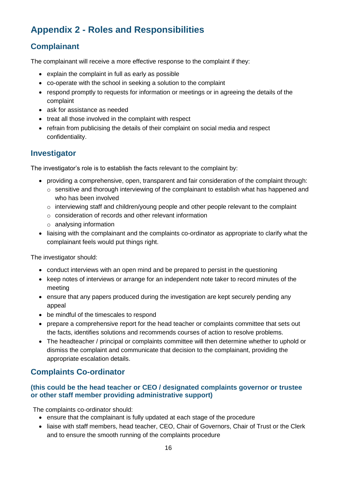## <span id="page-15-0"></span>**Appendix 2 - Roles and Responsibilities**

#### <span id="page-15-1"></span>**Complainant**

The complainant will receive a more effective response to the complaint if they:

- explain the complaint in full as early as possible
- co-operate with the school in seeking a solution to the complaint
- respond promptly to requests for information or meetings or in agreeing the details of the complaint
- ask for assistance as needed
- treat all those involved in the complaint with respect
- refrain from publicising the details of their complaint on social media and respect confidentiality.

#### <span id="page-15-2"></span>**Investigator**

The investigator's role is to establish the facts relevant to the complaint by:

- providing a comprehensive, open, transparent and fair consideration of the complaint through:
	- o sensitive and thorough interviewing of the complainant to establish what has happened and who has been involved
	- $\circ$  interviewing staff and children/young people and other people relevant to the complaint
	- o consideration of records and other relevant information
	- o analysing information
- liaising with the complainant and the complaints co-ordinator as appropriate to clarify what the complainant feels would put things right.

The investigator should:

- conduct interviews with an open mind and be prepared to persist in the questioning
- keep notes of interviews or arrange for an independent note taker to record minutes of the meeting
- ensure that any papers produced during the investigation are kept securely pending any appeal
- be mindful of the timescales to respond
- prepare a comprehensive report for the head teacher or complaints committee that sets out the facts, identifies solutions and recommends courses of action to resolve problems.
- The headteacher / principal or complaints committee will then determine whether to uphold or dismiss the complaint and communicate that decision to the complainant, providing the appropriate escalation details.

#### <span id="page-15-3"></span>**Complaints Co-ordinator**

#### **(this could be the head teacher or CEO / designated complaints governor or trustee or other staff member providing administrative support)**

<span id="page-15-4"></span>The complaints co-ordinator should:

- ensure that the complainant is fully updated at each stage of the procedure
- liaise with staff members, head teacher, CEO, Chair of Governors, Chair of Trust or the Clerk and to ensure the smooth running of the complaints procedure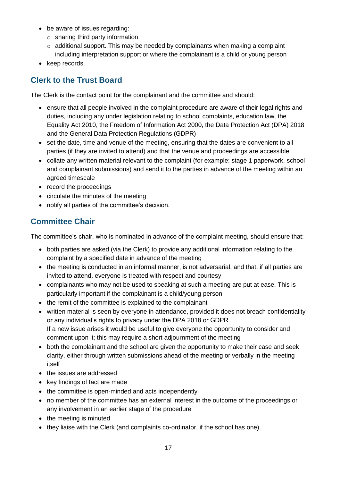- be aware of issues regarding:
	- o sharing third party information
	- o additional support. This may be needed by complainants when making a complaint including interpretation support or where the complainant is a child or young person
- keep records.

#### <span id="page-16-0"></span>**Clerk to the Trust Board**

The Clerk is the contact point for the complainant and the committee and should:

- ensure that all people involved in the complaint procedure are aware of their legal rights and duties, including any under legislation relating to school complaints, education law, the Equality Act 2010, the Freedom of Information Act 2000, the Data Protection Act (DPA) 2018 and the General Data Protection Regulations (GDPR)
- set the date, time and venue of the meeting, ensuring that the dates are convenient to all parties (if they are invited to attend) and that the venue and proceedings are accessible
- collate any written material relevant to the complaint (for example: stage 1 paperwork, school and complainant submissions) and send it to the parties in advance of the meeting within an agreed timescale
- record the proceedings
- circulate the minutes of the meeting
- notify all parties of the committee's decision.

#### <span id="page-16-1"></span>**Committee Chair**

The committee's chair, who is nominated in advance of the complaint meeting, should ensure that:

- both parties are asked (via the Clerk) to provide any additional information relating to the complaint by a specified date in advance of the meeting
- the meeting is conducted in an informal manner, is not adversarial, and that, if all parties are invited to attend, everyone is treated with respect and courtesy
- complainants who may not be used to speaking at such a meeting are put at ease. This is particularly important if the complainant is a child/young person
- the remit of the committee is explained to the complainant
- written material is seen by everyone in attendance, provided it does not breach confidentiality or any individual's rights to privacy under the DPA 2018 or GDPR. If a new issue arises it would be useful to give everyone the opportunity to consider and comment upon it; this may require a short adjournment of the meeting
- both the complainant and the school are given the opportunity to make their case and seek clarity, either through written submissions ahead of the meeting or verbally in the meeting itself
- the issues are addressed
- key findings of fact are made
- the committee is open-minded and acts independently
- no member of the committee has an external interest in the outcome of the proceedings or any involvement in an earlier stage of the procedure
- the meeting is minuted
- they liaise with the Clerk (and complaints co-ordinator, if the school has one).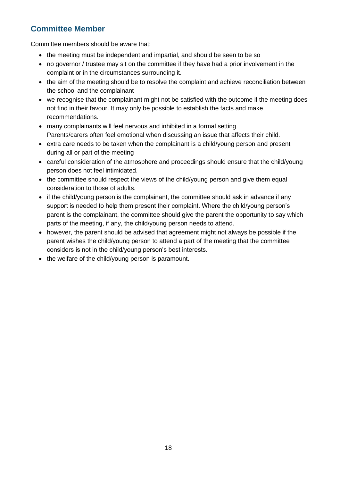#### <span id="page-17-0"></span>**Committee Member**

Committee members should be aware that:

- the meeting must be independent and impartial, and should be seen to be so
- no governor / trustee may sit on the committee if they have had a prior involvement in the complaint or in the circumstances surrounding it.
- the aim of the meeting should be to resolve the complaint and achieve reconciliation between the school and the complainant
- we recognise that the complainant might not be satisfied with the outcome if the meeting does not find in their favour. It may only be possible to establish the facts and make recommendations.
- many complainants will feel nervous and inhibited in a formal setting Parents/carers often feel emotional when discussing an issue that affects their child.
- extra care needs to be taken when the complainant is a child/young person and present during all or part of the meeting
- careful consideration of the atmosphere and proceedings should ensure that the child/young person does not feel intimidated.
- the committee should respect the views of the child/young person and give them equal consideration to those of adults.
- if the child/young person is the complainant, the committee should ask in advance if any support is needed to help them present their complaint. Where the child/young person's parent is the complainant, the committee should give the parent the opportunity to say which parts of the meeting, if any, the child/young person needs to attend.
- however, the parent should be advised that agreement might not always be possible if the parent wishes the child/young person to attend a part of the meeting that the committee considers is not in the child/young person's best interests.
- the welfare of the child/young person is paramount.